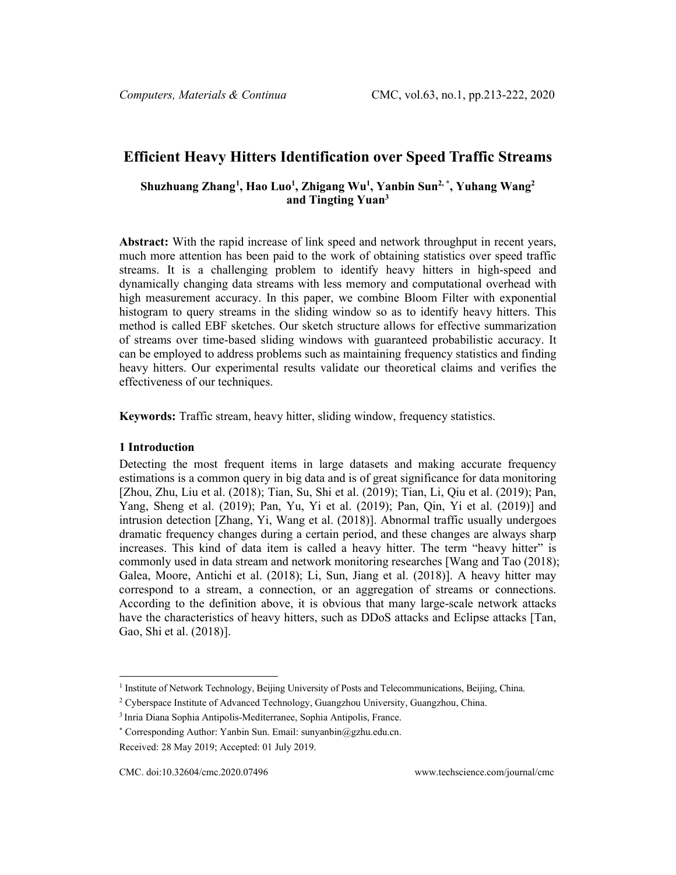# **Efficient Heavy Hitters Identification over Speed Traffic Streams**

## **Shuzhuang Zhang[1](#page-0-0) , Hao Luo1 , Zhigang Wu1 , Yanbin Sun2, \* , Yuhang Wang2 and Tingting Yuan3**

**Abstract:** With the rapid increase of link speed and network throughput in recent years, much more attention has been paid to the work of obtaining statistics over speed traffic streams. It is a challenging problem to identify heavy hitters in high-speed and dynamically changing data streams with less memory and computational overhead with high measurement accuracy. In this paper, we combine Bloom Filter with exponential histogram to query streams in the sliding window so as to identify heavy hitters. This method is called EBF sketches. Our sketch structure allows for effective summarization of streams over time-based sliding windows with guaranteed probabilistic accuracy. It can be employed to address problems such as maintaining frequency statistics and finding heavy hitters. Our experimental results validate our theoretical claims and verifies the effectiveness of our techniques.

**Keywords:** Traffic stream, heavy hitter, sliding window, frequency statistics.

#### **1 Introduction**

Detecting the most frequent items in large datasets and making accurate frequency estimations is a common query in big data and is of great significance for data monitoring [Zhou, Zhu, Liu et al. (2018); Tian, Su, Shi et al. (2019); Tian, Li, Qiu et al. (2019); Pan, Yang, Sheng et al. (2019); Pan, Yu, Yi et al. (2019); Pan, Qin, Yi et al. (2019)] and intrusion detection [Zhang, Yi, Wang et al. (2018)]. Abnormal traffic usually undergoes dramatic frequency changes during a certain period, and these changes are always sharp increases. This kind of data item is called a heavy hitter. The term "heavy hitter" is commonly used in data stream and network monitoring researches [Wang and Tao (2018); Galea, Moore, Antichi et al. (2018); Li, Sun, Jiang et al. (2018)]. A heavy hitter may correspond to a stream, a connection, or an aggregation of streams or connections. According to the definition above, it is obvious that many large-scale network attacks have the characteristics of heavy hitters, such as DDoS attacks and Eclipse attacks [Tan, Gao, Shi et al. (2018)].

<span id="page-0-0"></span><sup>&</sup>lt;sup>1</sup> Institute of Network Technology, Beijing University of Posts and Telecommunications, Beijing, China.

<sup>2</sup> Cyberspace Institute of Advanced Technology, Guangzhou University, Guangzhou, China.

<sup>3</sup> Inria Diana Sophia Antipolis-Mediterranee, Sophia Antipolis, France.

<sup>\*</sup> Corresponding Author: Yanbin Sun. Email[: sunyanbin@gzhu.edu.cn.](mailto:sunyanbin@gzhu.edu.cn)

Received: 28 May 2019; Accepted: 01 July 2019.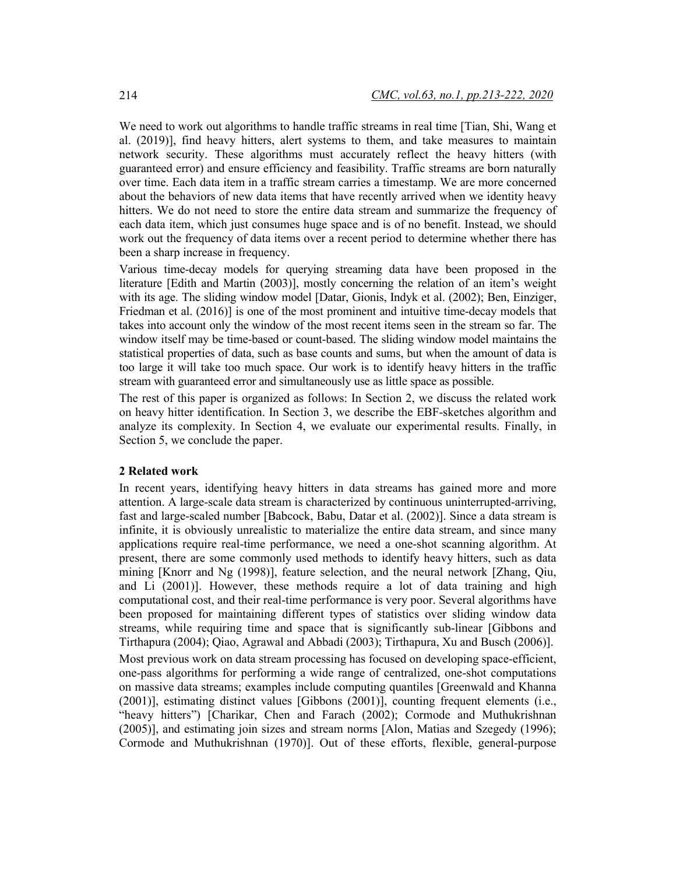We need to work out algorithms to handle traffic streams in real time [Tian, Shi, Wang et al. (2019)], find heavy hitters, alert systems to them, and take measures to maintain network security. These algorithms must accurately reflect the heavy hitters (with guaranteed error) and ensure efficiency and feasibility. Traffic streams are born naturally over time. Each data item in a traffic stream carries a timestamp. We are more concerned about the behaviors of new data items that have recently arrived when we identity heavy hitters. We do not need to store the entire data stream and summarize the frequency of each data item, which just consumes huge space and is of no benefit. Instead, we should work out the frequency of data items over a recent period to determine whether there has been a sharp increase in frequency.

Various time-decay models for querying streaming data have been proposed in the literature [Edith and Martin (2003)], mostly concerning the relation of an item's weight with its age. The sliding window model [Datar, Gionis, Indyk et al. (2002); Ben, Einziger, Friedman et al. (2016)] is one of the most prominent and intuitive time-decay models that takes into account only the window of the most recent items seen in the stream so far. The window itself may be time-based or count-based. The sliding window model maintains the statistical properties of data, such as base counts and sums, but when the amount of data is too large it will take too much space. Our work is to identify heavy hitters in the traffic stream with guaranteed error and simultaneously use as little space as possible.

The rest of this paper is organized as follows: In Section 2, we discuss the related work on heavy hitter identification. In Section 3, we describe the EBF-sketches algorithm and analyze its complexity. In Section 4, we evaluate our experimental results. Finally, in Section 5, we conclude the paper.

## **2 Related work**

In recent years, identifying heavy hitters in data streams has gained more and more attention. A large-scale data stream is characterized by continuous uninterrupted-arriving, fast and large-scaled number [Babcock, Babu, Datar et al. (2002)]. Since a data stream is infinite, it is obviously unrealistic to materialize the entire data stream, and since many applications require real-time performance, we need a one-shot scanning algorithm. At present, there are some commonly used methods to identify heavy hitters, such as data mining [Knorr and Ng (1998)], feature selection, and the neural network [Zhang, Qiu, and Li (2001)]. However, these methods require a lot of data training and high computational cost, and their real-time performance is very poor. Several algorithms have been proposed for maintaining different types of statistics over sliding window data streams, while requiring time and space that is significantly sub-linear [Gibbons and Tirthapura (2004); Qiao, Agrawal and Abbadi (2003); Tirthapura, Xu and Busch (2006)].

Most previous work on data stream processing has focused on developing space-efficient, one-pass algorithms for performing a wide range of centralized, one-shot computations on massive data streams; examples include computing quantiles [Greenwald and Khanna (2001)], estimating distinct values [Gibbons (2001)], counting frequent elements (i.e., "heavy hitters") [Charikar, Chen and Farach (2002); Cormode and Muthukrishnan (2005)], and estimating join sizes and stream norms [Alon, Matias and Szegedy (1996); Cormode and Muthukrishnan (1970)]. Out of these efforts, flexible, general-purpose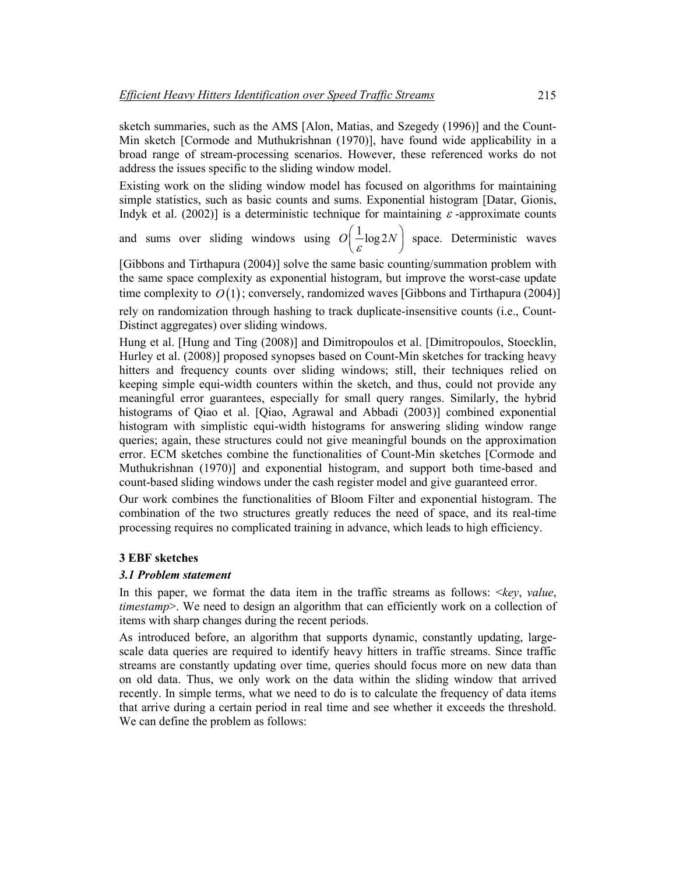sketch summaries, such as the AMS [Alon, Matias, and Szegedy (1996)] and the Count-Min sketch [Cormode and Muthukrishnan (1970)], have found wide applicability in a broad range of stream-processing scenarios. However, these referenced works do not address the issues specific to the sliding window model.

Existing work on the sliding window model has focused on algorithms for maintaining simple statistics, such as basic counts and sums. Exponential histogram [Datar, Gionis, Indyk et al. (2002)] is a deterministic technique for maintaining  $\varepsilon$ -approximate counts

and sums over sliding windows using  $O\left(\frac{1}{\varepsilon} \log 2N\right)$  space. Deterministic waves

[Gibbons and Tirthapura (2004)] solve the same basic counting/summation problem with the same space complexity as exponential histogram, but improve the worst-case update time complexity to  $O(1)$ ; conversely, randomized waves [Gibbons and Tirthapura (2004)] rely on randomization through hashing to track duplicate-insensitive counts (i.e., Count-Distinct aggregates) over sliding windows.

Hung et al. [Hung and Ting (2008)] and Dimitropoulos et al. [Dimitropoulos, Stoecklin, Hurley et al. (2008)] proposed synopses based on Count-Min sketches for tracking heavy hitters and frequency counts over sliding windows; still, their techniques relied on keeping simple equi-width counters within the sketch, and thus, could not provide any meaningful error guarantees, especially for small query ranges. Similarly, the hybrid histograms of Qiao et al. [Qiao, Agrawal and Abbadi (2003)] combined exponential histogram with simplistic equi-width histograms for answering sliding window range queries; again, these structures could not give meaningful bounds on the approximation error. ECM sketches combine the functionalities of Count-Min sketches [Cormode and Muthukrishnan (1970)] and exponential histogram, and support both time-based and count-based sliding windows under the cash register model and give guaranteed error.

Our work combines the functionalities of Bloom Filter and exponential histogram. The combination of the two structures greatly reduces the need of space, and its real-time processing requires no complicated training in advance, which leads to high efficiency.

## **3 EBF sketches**

#### *3.1 Problem statement*

In this paper, we format the data item in the traffic streams as follows: <*key*, *value*, *timestamp*>. We need to design an algorithm that can efficiently work on a collection of items with sharp changes during the recent periods.

As introduced before, an algorithm that supports dynamic, constantly updating, largescale data queries are required to identify heavy hitters in traffic streams. Since traffic streams are constantly updating over time, queries should focus more on new data than on old data. Thus, we only work on the data within the sliding window that arrived recently. In simple terms, what we need to do is to calculate the frequency of data items that arrive during a certain period in real time and see whether it exceeds the threshold. We can define the problem as follows: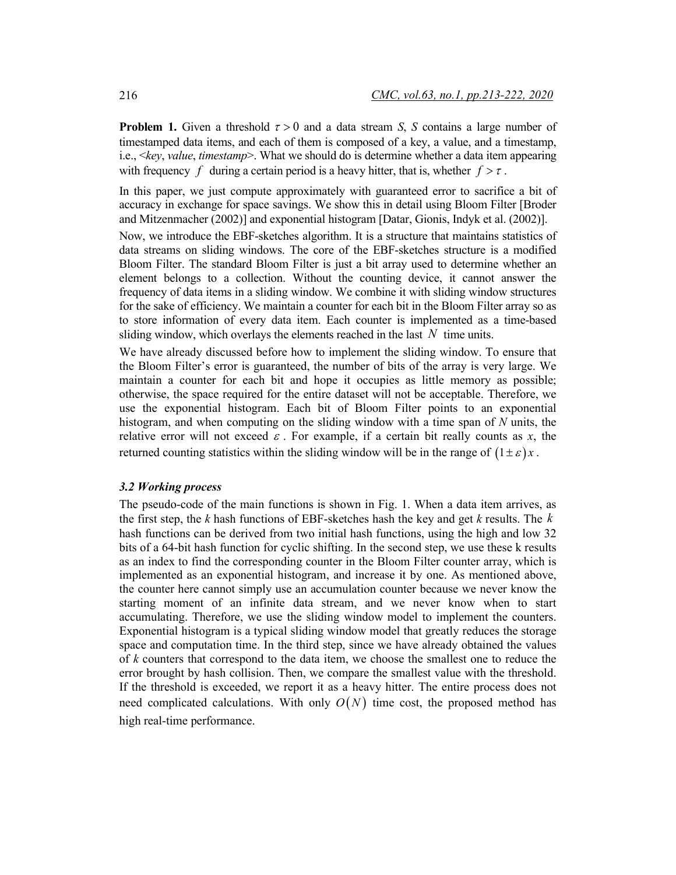**Problem 1.** Given a threshold  $\tau > 0$  and a data stream *S*, *S* contains a large number of timestamped data items, and each of them is composed of a key, a value, and a timestamp, i.e., <*key*, *value*, *timestamp*>. What we should do is determine whether a data item appearing with frequency *f* during a certain period is a heavy hitter, that is, whether  $f > \tau$ .

In this paper, we just compute approximately with guaranteed error to sacrifice a bit of accuracy in exchange for space savings. We show this in detail using Bloom Filter [Broder and Mitzenmacher (2002)] and exponential histogram [Datar, Gionis, Indyk et al. (2002)].

Now, we introduce the EBF-sketches algorithm. It is a structure that maintains statistics of data streams on sliding windows. The core of the EBF-sketches structure is a modified Bloom Filter. The standard Bloom Filter is just a bit array used to determine whether an element belongs to a collection. Without the counting device, it cannot answer the frequency of data items in a sliding window. We combine it with sliding window structures for the sake of efficiency. We maintain a counter for each bit in the Bloom Filter array so as to store information of every data item. Each counter is implemented as a time-based sliding window, which overlays the elements reached in the last *N* time units.

We have already discussed before how to implement the sliding window. To ensure that the Bloom Filter's error is guaranteed, the number of bits of the array is very large. We maintain a counter for each bit and hope it occupies as little memory as possible; otherwise, the space required for the entire dataset will not be acceptable. Therefore, we use the exponential histogram. Each bit of Bloom Filter points to an exponential histogram, and when computing on the sliding window with a time span of *N* units, the relative error will not exceed  $\varepsilon$ . For example, if a certain bit really counts as x, the returned counting statistics within the sliding window will be in the range of  $(1 \pm \varepsilon)x$ .

#### *3.2 Working process*

The pseudo-code of the main functions is shown in Fig. 1. When a data item arrives, as the first step, the *k* hash functions of EBF-sketches hash the key and get *k* results. The *k* hash functions can be derived from two initial hash functions, using the high and low 32 bits of a 64-bit hash function for cyclic shifting. In the second step, we use these k results as an index to find the corresponding counter in the Bloom Filter counter array, which is implemented as an exponential histogram, and increase it by one. As mentioned above, the counter here cannot simply use an accumulation counter because we never know the starting moment of an infinite data stream, and we never know when to start accumulating. Therefore, we use the sliding window model to implement the counters. Exponential histogram is a typical sliding window model that greatly reduces the storage space and computation time. In the third step, since we have already obtained the values of *k* counters that correspond to the data item, we choose the smallest one to reduce the error brought by hash collision. Then, we compare the smallest value with the threshold. If the threshold is exceeded, we report it as a heavy hitter. The entire process does not need complicated calculations. With only  $O(N)$  time cost, the proposed method has high real-time performance.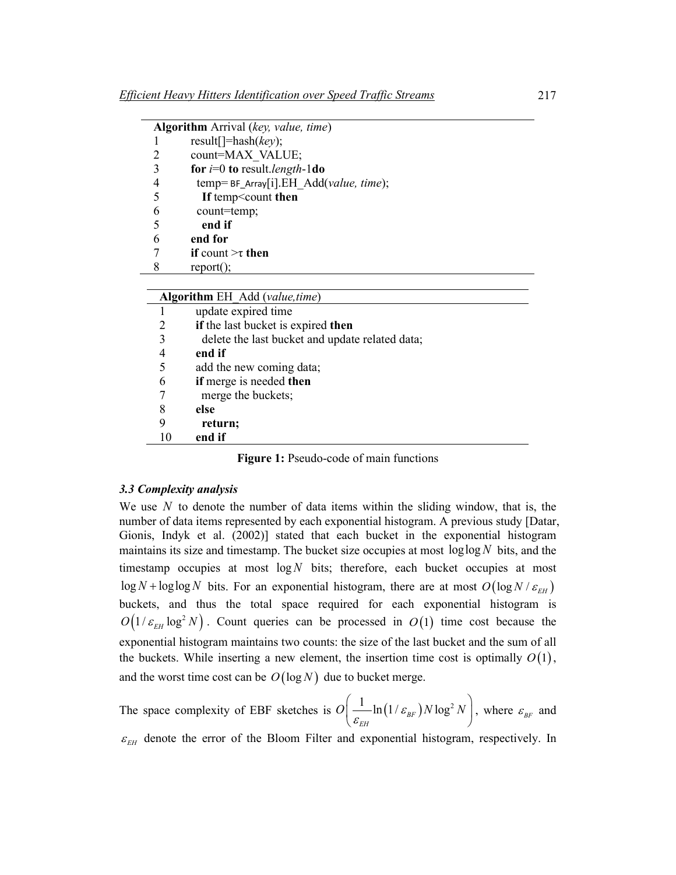| <b>Algorithm</b> Arrival (key, value, time) |                                         |
|---------------------------------------------|-----------------------------------------|
|                                             | result[]=hash( $key$ );                 |
| 2                                           | count=MAX VALUE;                        |
| 3                                           | for $i=0$ to result. <i>length</i> -1do |
| $\overline{4}$                              | temp= BF_Array[i].EH_Add(value, time);  |
| 5                                           | If temp <count td="" then<=""></count>  |
| 6                                           | count=temp;                             |
| -5                                          | end if                                  |
| 6                                           | end for                                 |
|                                             | if count $\geq \tau$ then               |
| 8                                           | $report()$ ;                            |
|                                             |                                         |

| Algorithm EH Add (value, time) |                                                 |
|--------------------------------|-------------------------------------------------|
|                                | update expired time                             |
| 2                              | if the last bucket is expired then              |
| 3                              | delete the last bucket and update related data; |
| 4                              | end if                                          |
| 5                              | add the new coming data;                        |
| 6                              | if merge is needed then                         |
|                                | merge the buckets;                              |
| 8                              | else                                            |
| 9                              | return;                                         |
| 10                             | end if                                          |
|                                |                                                 |

**Figure 1:** Pseudo-code of main functions

## *3.3 Complexity analysis*

We use *N* to denote the number of data items within the sliding window, that is, the number of data items represented by each exponential histogram. A previous study [Datar, Gionis, Indyk et al. (2002)] stated that each bucket in the exponential histogram maintains its size and timestamp. The bucket size occupies at most loglog *N* bits, and the timestamp occupies at most  $log N$  bits; therefore, each bucket occupies at most  $\log N$  +  $\log \log N$  bits. For an exponential histogram, there are at most  $O(\log N / \varepsilon_{EH})$ buckets, and thus the total space required for each exponential histogram is  $O(1/\varepsilon_{EH} \log^2 N)$ . Count queries can be processed in  $O(1)$  time cost because the exponential histogram maintains two counts: the size of the last bucket and the sum of all the buckets. While inserting a new element, the insertion time cost is optimally  $O(1)$ , and the worst time cost can be  $O(\log N)$  due to bucket merge.

The space complexity of EBF sketches is  $O\left(\frac{1}{e^{H}}\ln\left(1/\varepsilon_{BF}\right)N\log^2\right)$ *EH*  $O\!\!\left(\frac{1}{\mathcal{E}_{\mathit{EH}} }\!\ln(1/\mathcal{E}_{\mathit{BF}})N\log^2 N\right)$ , where  $\varepsilon_{BF}$  and  $\varepsilon$ <sub>EH</sub> denote the error of the Bloom Filter and exponential histogram, respectively. In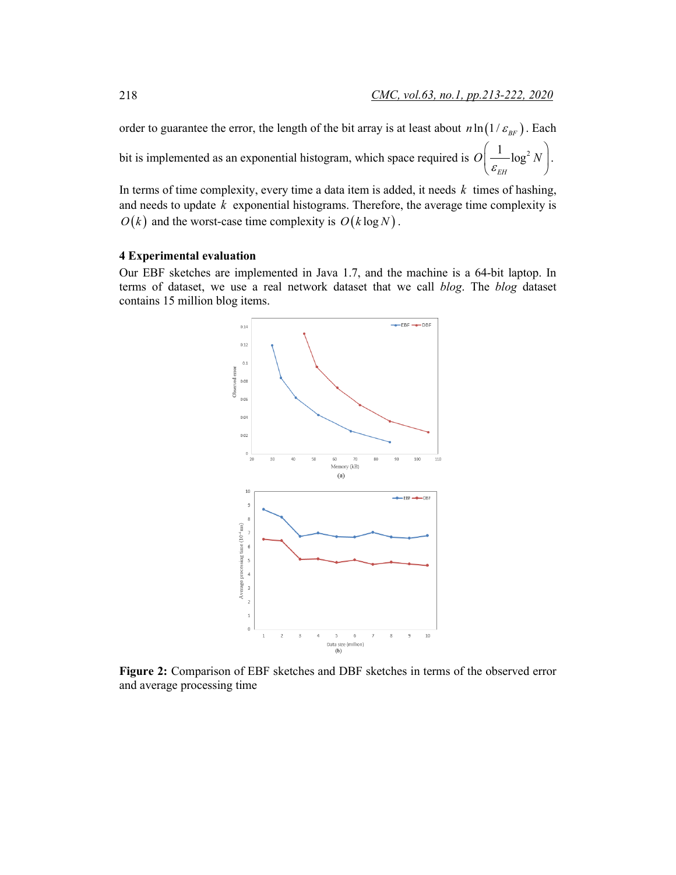order to guarantee the error, the length of the bit array is at least about  $n \ln(1/\varepsilon_{BE})$ . Each bit is implemented as an exponential histogram, which space required is  $O\left( \frac{1}{\sqrt{2}} \log^2 \frac{1}{2} \right)$ *EH*  $O\!\!\left(\frac{1}{\varepsilon_{\scriptscriptstyle EH}}\text{\rm log}^2\,N\right)$ .

In terms of time complexity, every time a data item is added, it needs *k* times of hashing, and needs to update *k* exponential histograms. Therefore, the average time complexity is  $O(k)$  and the worst-case time complexity is  $O(k \log N)$ .

#### **4 Experimental evaluation**

Our EBF sketches are implemented in Java 1.7, and the machine is a 64-bit laptop. In terms of dataset, we use a real network dataset that we call *blog*. The *blog* dataset contains 15 million blog items.



**Figure 2:** Comparison of EBF sketches and DBF sketches in terms of the observed error and average processing time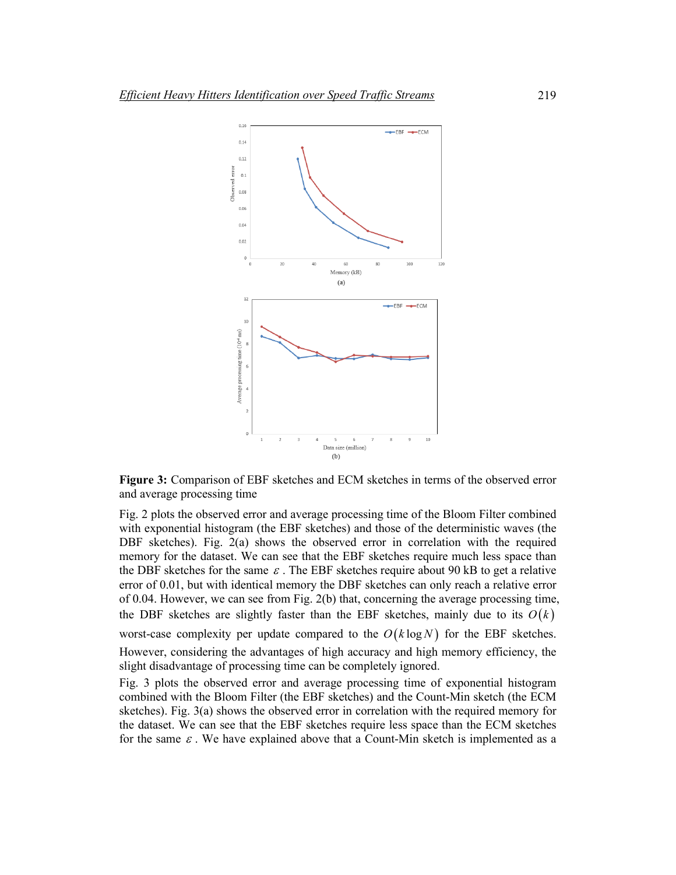

**Figure 3:** Comparison of EBF sketches and ECM sketches in terms of the observed error and average processing time

Fig. 2 plots the observed error and average processing time of the Bloom Filter combined with exponential histogram (the EBF sketches) and those of the deterministic waves (the DBF sketches). Fig. 2(a) shows the observed error in correlation with the required memory for the dataset. We can see that the EBF sketches require much less space than the DBF sketches for the same  $\varepsilon$ . The EBF sketches require about 90 kB to get a relative error of 0.01, but with identical memory the DBF sketches can only reach a relative error of 0.04. However, we can see from Fig. 2(b) that, concerning the average processing time, the DBF sketches are slightly faster than the EBF sketches, mainly due to its  $O(k)$ worst-case complexity per update compared to the  $O(k \log N)$  for the EBF sketches.

However, considering the advantages of high accuracy and high memory efficiency, the slight disadvantage of processing time can be completely ignored.

Fig. 3 plots the observed error and average processing time of exponential histogram combined with the Bloom Filter (the EBF sketches) and the Count-Min sketch (the ECM sketches). Fig. 3(a) shows the observed error in correlation with the required memory for the dataset. We can see that the EBF sketches require less space than the ECM sketches for the same  $\varepsilon$ . We have explained above that a Count-Min sketch is implemented as a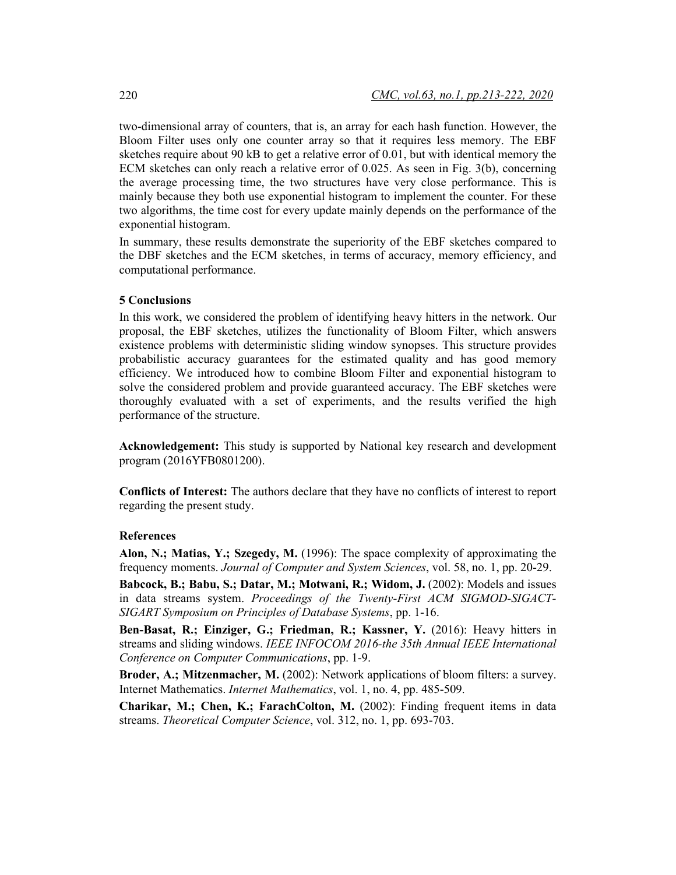two-dimensional array of counters, that is, an array for each hash function. However, the Bloom Filter uses only one counter array so that it requires less memory. The EBF sketches require about 90 kB to get a relative error of 0.01, but with identical memory the ECM sketches can only reach a relative error of 0.025. As seen in Fig. 3(b), concerning the average processing time, the two structures have very close performance. This is mainly because they both use exponential histogram to implement the counter. For these two algorithms, the time cost for every update mainly depends on the performance of the exponential histogram.

In summary, these results demonstrate the superiority of the EBF sketches compared to the DBF sketches and the ECM sketches, in terms of accuracy, memory efficiency, and computational performance.

## **5 Conclusions**

In this work, we considered the problem of identifying heavy hitters in the network. Our proposal, the EBF sketches, utilizes the functionality of Bloom Filter, which answers existence problems with deterministic sliding window synopses. This structure provides probabilistic accuracy guarantees for the estimated quality and has good memory efficiency. We introduced how to combine Bloom Filter and exponential histogram to solve the considered problem and provide guaranteed accuracy. The EBF sketches were thoroughly evaluated with a set of experiments, and the results verified the high performance of the structure.

**Acknowledgement:** This study is supported by National key research and development program (2016YFB0801200).

**Conflicts of Interest:** The authors declare that they have no conflicts of interest to report regarding the present study.

## **References**

**Alon, N.; Matias, Y.; Szegedy, M.** (1996): The space complexity of approximating the frequency moments. *Journal of Computer and System Sciences*, vol. 58, no. 1, pp. 20-29.

**Babcock, B.; Babu, S.; Datar, M.; Motwani, R.; Widom, J.** (2002): Models and issues in data streams system. *Proceedings of the Twenty-First ACM SIGMOD-SIGACT-SIGART Symposium on Principles of Database Systems*, pp. 1-16.

**Ben-Basat, R.; Einziger, G.; Friedman, R.; Kassner, Y.** (2016): Heavy hitters in streams and sliding windows. *IEEE INFOCOM 2016-the 35th Annual IEEE International Conference on Computer Communications*, pp. 1-9.

**Broder, A.; Mitzenmacher, M.** (2002): Network applications of bloom filters: a survey. Internet Mathematics. *Internet Mathematics*, vol. 1, no. 4, pp. 485-509.

**Charikar, M.; Chen, K.; FarachColton, M.** (2002): Finding frequent items in data streams. *Theoretical Computer Science*, vol. 312, no. 1, pp. 693-703.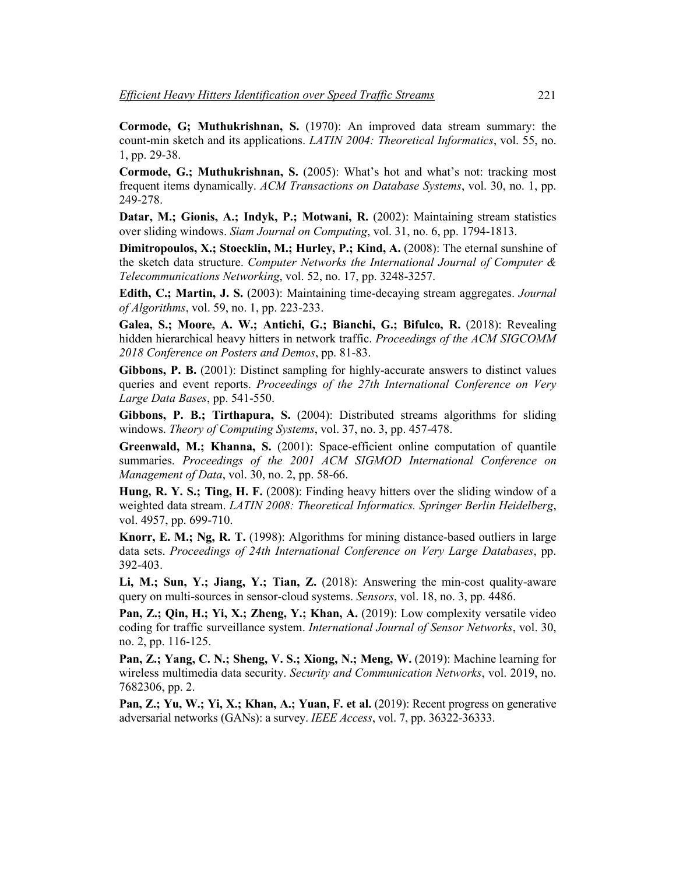**Cormode, G; Muthukrishnan, S.** (1970): An improved data stream summary: the count-min sketch and its applications. *LATIN 2004: Theoretical Informatics*, vol. 55, no. 1, pp. 29-38.

**Cormode, G.; Muthukrishnan, S.** (2005): What's hot and what's not: tracking most frequent items dynamically. *ACM Transactions on Database Systems*, vol. 30, no. 1, pp. 249-278.

**Datar, M.; Gionis, A.; Indyk, P.; Motwani, R.** (2002): Maintaining stream statistics over sliding windows. *Siam Journal on Computing*, vol. 31, no. 6, pp. 1794-1813.

**Dimitropoulos, X.; Stoecklin, M.; Hurley, P.; Kind, A.** (2008): The eternal sunshine of the sketch data structure. *Computer Networks the International Journal of Computer & Telecommunications Networking*, vol. 52, no. 17, pp. 3248-3257.

**Edith, C.; Martin, J. S.** (2003): Maintaining time-decaying stream aggregates. *Journal of Algorithms*, vol. 59, no. 1, pp. 223-233.

**Galea, S.; Moore, A. W.; Antichi, G.; Bianchi, G.; Bifulco, R.** (2018): Revealing hidden hierarchical heavy hitters in network traffic. *Proceedings of the ACM SIGCOMM 2018 Conference on Posters and Demos*, pp. 81-83.

**Gibbons, P. B.** (2001): Distinct sampling for highly-accurate answers to distinct values queries and event reports. *Proceedings of the 27th International Conference on Very Large Data Bases*, pp. 541-550.

**Gibbons, P. B.; Tirthapura, S.** (2004): Distributed streams algorithms for sliding windows. *Theory of Computing Systems*, vol. 37, no. 3, pp. 457-478.

**Greenwald, M.; Khanna, S.** (2001): Space-efficient online computation of quantile summaries. *Proceedings of the 2001 ACM SIGMOD International Conference on Management of Data*, vol. 30, no. 2, pp. 58-66.

**Hung, R. Y. S.; Ting, H. F.** (2008): Finding heavy hitters over the sliding window of a weighted data stream. *LATIN 2008: Theoretical Informatics. Springer Berlin Heidelberg*, vol. 4957, pp. 699-710.

**Knorr, E. M.; Ng, R. T.** (1998): Algorithms for mining distance-based outliers in large data sets. *Proceedings of 24th International Conference on Very Large Databases*, pp. 392-403.

**Li, M.; Sun, Y.; Jiang, Y.; Tian, Z.** (2018): Answering the min-cost quality-aware query on multi-sources in sensor-cloud systems. *Sensors*, vol. 18, no. 3, pp. 4486.

**Pan, Z.; Qin, H.; Yi, X.; Zheng, Y.; Khan, A.** (2019): Low complexity versatile video coding for traffic surveillance system. *International Journal of Sensor Networks*, vol. 30, no. 2, pp. 116-125.

**Pan, Z.; Yang, C. N.; Sheng, V. S.; Xiong, N.; Meng, W.** (2019): Machine learning for wireless multimedia data security. *Security and Communication Networks*, vol. 2019, no. 7682306, pp. 2.

**Pan, Z.; Yu, W.; Yi, X.; Khan, A.; Yuan, F. et al.** (2019): Recent progress on generative adversarial networks (GANs): a survey. *IEEE Access*, vol. 7, pp. 36322-36333.